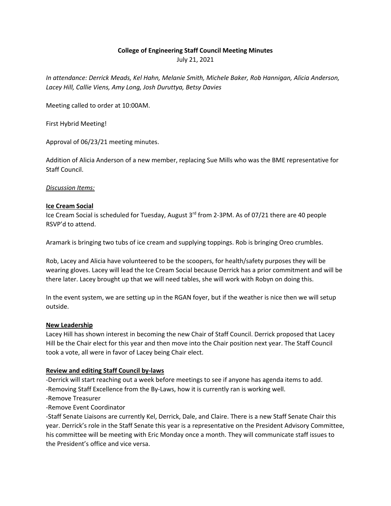### **College of Engineering Staff Council Meeting Minutes**

July 21, 2021

*In attendance: Derrick Meads, Kel Hahn, Melanie Smith, Michele Baker, Rob Hannigan, Alicia Anderson, Lacey Hill, Callie Viens, Amy Long, Josh Duruttya, Betsy Davies*

Meeting called to order at 10:00AM.

First Hybrid Meeting!

Approval of 06/23/21 meeting minutes.

Addition of Alicia Anderson of a new member, replacing Sue Mills who was the BME representative for Staff Council.

### *Discussion Items:*

### **Ice Cream Social**

Ice Cream Social is scheduled for Tuesday, August 3<sup>rd</sup> from 2-3PM. As of 07/21 there are 40 people RSVP'd to attend.

Aramark is bringing two tubs of ice cream and supplying toppings. Rob is bringing Oreo crumbles.

Rob, Lacey and Alicia have volunteered to be the scoopers, for health/safety purposes they will be wearing gloves. Lacey will lead the Ice Cream Social because Derrick has a prior commitment and will be there later. Lacey brought up that we will need tables, she will work with Robyn on doing this.

In the event system, we are setting up in the RGAN foyer, but if the weather is nice then we will setup outside.

### **New Leadership**

Lacey Hill has shown interest in becoming the new Chair of Staff Council. Derrick proposed that Lacey Hill be the Chair elect for this year and then move into the Chair position next year. The Staff Council took a vote, all were in favor of Lacey being Chair elect.

# **Review and editing Staff Council by-laws**

-Derrick will start reaching out a week before meetings to see if anyone has agenda items to add. -Removing Staff Excellence from the By-Laws, how it is currently ran is working well.

- -Remove Treasurer
- -Remove Event Coordinator

-Staff Senate Liaisons are currently Kel, Derrick, Dale, and Claire. There is a new Staff Senate Chair this year. Derrick's role in the Staff Senate this year is a representative on the President Advisory Committee, his committee will be meeting with Eric Monday once a month. They will communicate staff issues to the President's office and vice versa.